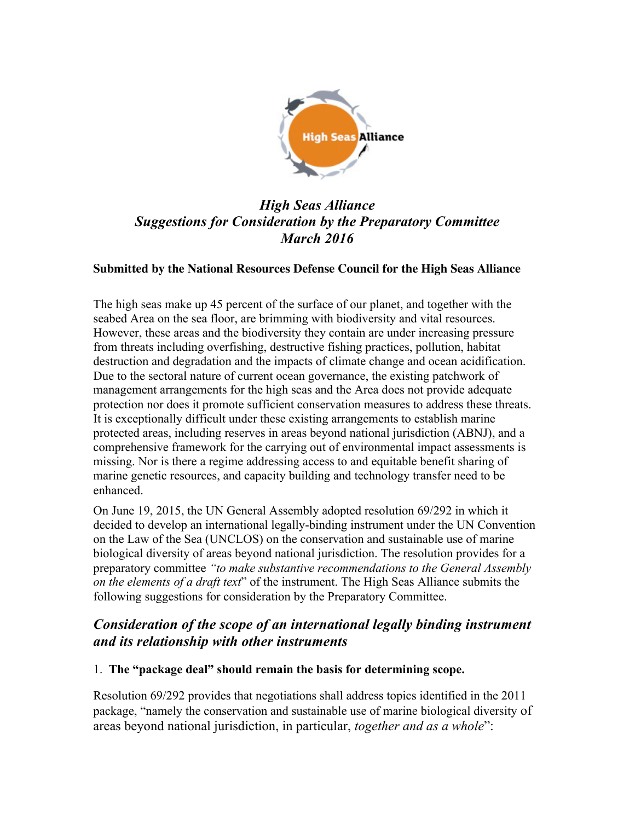

# *High Seas Alliance Suggestions for Consideration by the Preparatory Committee March 2016*

#### **Submitted by the National Resources Defense Council for the High Seas Alliance**

The high seas make up 45 percent of the surface of our planet, and together with the seabed Area on the sea floor, are brimming with biodiversity and vital resources. However, these areas and the biodiversity they contain are under increasing pressure from threats including overfishing, destructive fishing practices, pollution, habitat destruction and degradation and the impacts of climate change and ocean acidification. Due to the sectoral nature of current ocean governance, the existing patchwork of management arrangements for the high seas and the Area does not provide adequate protection nor does it promote sufficient conservation measures to address these threats. It is exceptionally difficult under these existing arrangements to establish marine protected areas, including reserves in areas beyond national jurisdiction (ABNJ), and a comprehensive framework for the carrying out of environmental impact assessments is missing. Nor is there a regime addressing access to and equitable benefit sharing of marine genetic resources, and capacity building and technology transfer need to be enhanced.

On June 19, 2015, the UN General Assembly adopted resolution 69/292 in which it decided to develop an international legally-binding instrument under the UN Convention on the Law of the Sea (UNCLOS) on the conservation and sustainable use of marine biological diversity of areas beyond national jurisdiction. The resolution provides for a preparatory committee *"to make substantive recommendations to the General Assembly on the elements of a draft text*" of the instrument. The High Seas Alliance submits the following suggestions for consideration by the Preparatory Committee.

### *Consideration of the scope of an international legally binding instrument and its relationship with other instruments*

#### 1. **The "package deal" should remain the basis for determining scope.**

Resolution 69/292 provides that negotiations shall address topics identified in the 2011 package, "namely the conservation and sustainable use of marine biological diversity of areas beyond national jurisdiction, in particular, *together and as a whole*":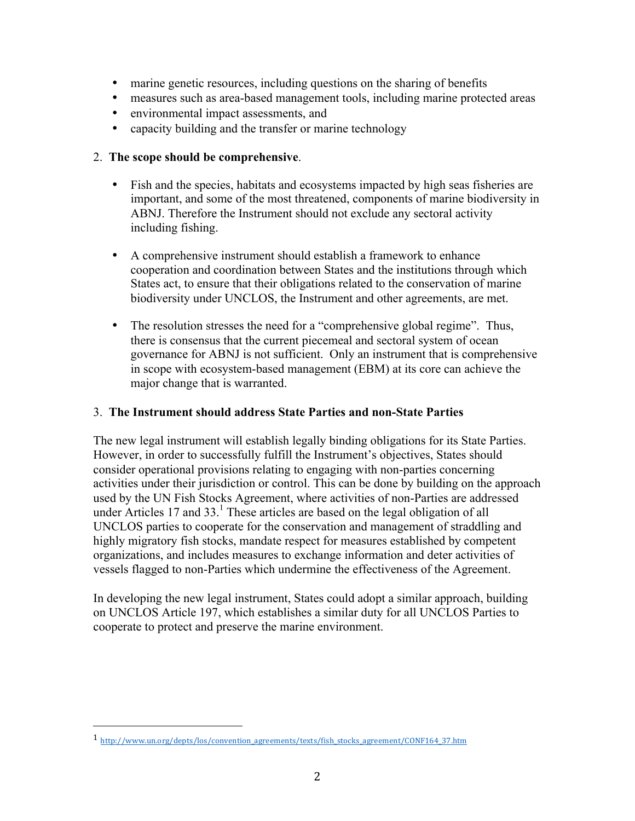- marine genetic resources, including questions on the sharing of benefits
- measures such as area-based management tools, including marine protected areas
- environmental impact assessments, and
- capacity building and the transfer or marine technology

#### 2. **The scope should be comprehensive**.

- Fish and the species, habitats and ecosystems impacted by high seas fisheries are important, and some of the most threatened, components of marine biodiversity in ABNJ. Therefore the Instrument should not exclude any sectoral activity including fishing.
- A comprehensive instrument should establish a framework to enhance cooperation and coordination between States and the institutions through which States act, to ensure that their obligations related to the conservation of marine biodiversity under UNCLOS, the Instrument and other agreements, are met.
- The resolution stresses the need for a "comprehensive global regime". Thus, there is consensus that the current piecemeal and sectoral system of ocean governance for ABNJ is not sufficient. Only an instrument that is comprehensive in scope with ecosystem-based management (EBM) at its core can achieve the major change that is warranted.

#### 3. **The Instrument should address State Parties and non-State Parties**

The new legal instrument will establish legally binding obligations for its State Parties. However, in order to successfully fulfill the Instrument's objectives, States should consider operational provisions relating to engaging with non-parties concerning activities under their jurisdiction or control. This can be done by building on the approach used by the UN Fish Stocks Agreement, where activities of non-Parties are addressed under Articles 17 and 33. <sup>1</sup> These articles are based on the legal obligation of all UNCLOS parties to cooperate for the conservation and management of straddling and highly migratory fish stocks, mandate respect for measures established by competent organizations, and includes measures to exchange information and deter activities of vessels flagged to non-Parties which undermine the effectiveness of the Agreement.

In developing the new legal instrument, States could adopt a similar approach, building on UNCLOS Article 197, which establishes a similar duty for all UNCLOS Parties to cooperate to protect and preserve the marine environment.

 

<sup>1</sup> http://www.un.org/depts/los/convention\_agreements/texts/fish\_stocks\_agreement/CONF164\_37.htm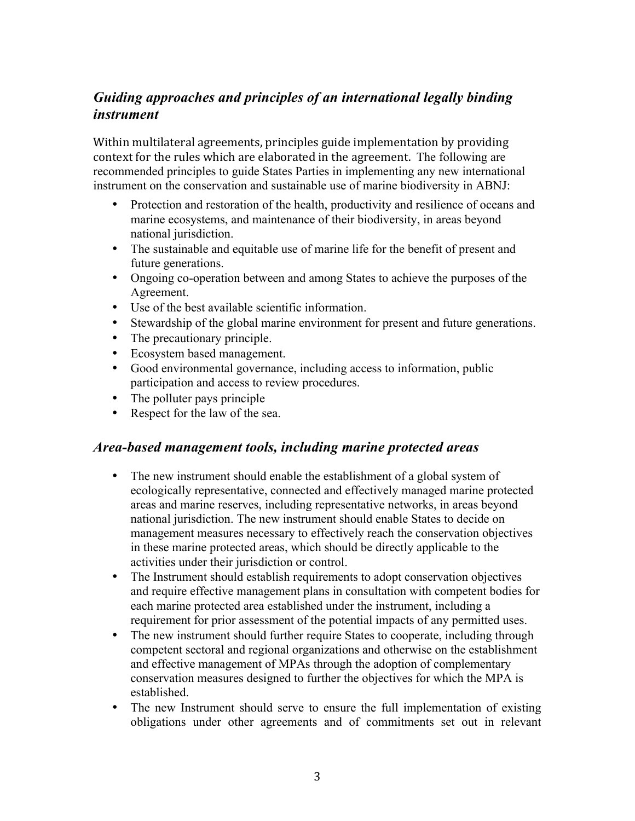### *Guiding approaches and principles of an international legally binding instrument*

Within multilateral agreements, principles guide implementation by providing context for the rules which are elaborated in the agreement. The following are recommended principles to guide States Parties in implementing any new international instrument on the conservation and sustainable use of marine biodiversity in ABNJ:

- Protection and restoration of the health, productivity and resilience of oceans and marine ecosystems, and maintenance of their biodiversity, in areas beyond national jurisdiction.
- The sustainable and equitable use of marine life for the benefit of present and future generations.
- Ongoing co-operation between and among States to achieve the purposes of the Agreement.
- Use of the best available scientific information.
- Stewardship of the global marine environment for present and future generations.
- The precautionary principle.
- Ecosystem based management.
- Good environmental governance, including access to information, public participation and access to review procedures.
- The polluter pays principle
- Respect for the law of the sea.

### *Area-based management tools, including marine protected areas*

- The new instrument should enable the establishment of a global system of ecologically representative, connected and effectively managed marine protected areas and marine reserves, including representative networks, in areas beyond national jurisdiction. The new instrument should enable States to decide on management measures necessary to effectively reach the conservation objectives in these marine protected areas, which should be directly applicable to the activities under their jurisdiction or control.
- The Instrument should establish requirements to adopt conservation objectives and require effective management plans in consultation with competent bodies for each marine protected area established under the instrument, including a requirement for prior assessment of the potential impacts of any permitted uses.
- The new instrument should further require States to cooperate, including through competent sectoral and regional organizations and otherwise on the establishment and effective management of MPAs through the adoption of complementary conservation measures designed to further the objectives for which the MPA is established.
- The new Instrument should serve to ensure the full implementation of existing obligations under other agreements and of commitments set out in relevant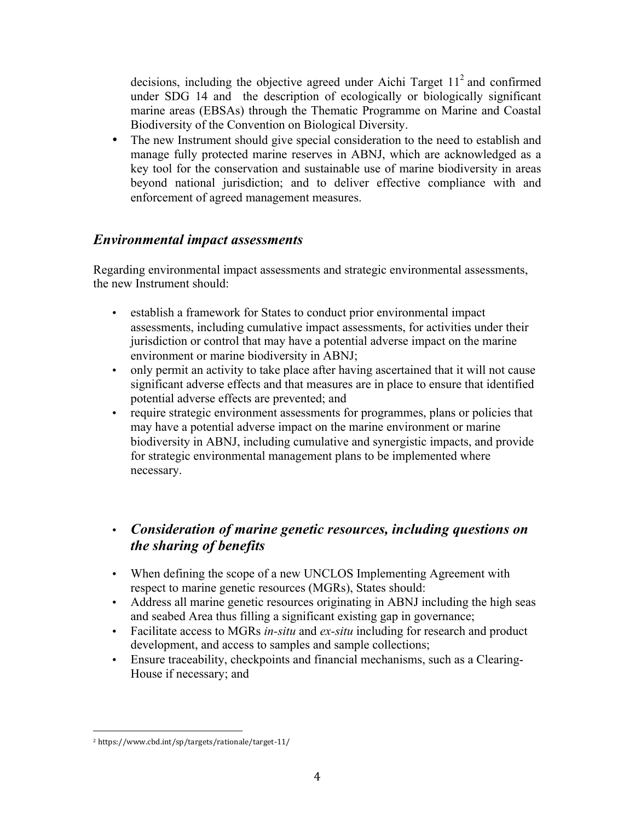decisions, including the objective agreed under Aichi Target  $11<sup>2</sup>$  and confirmed under SDG 14 and the description of ecologically or biologically significant marine areas (EBSAs) through the Thematic Programme on Marine and Coastal Biodiversity of the Convention on Biological Diversity.

• The new Instrument should give special consideration to the need to establish and manage fully protected marine reserves in ABNJ, which are acknowledged as a key tool for the conservation and sustainable use of marine biodiversity in areas beyond national jurisdiction; and to deliver effective compliance with and enforcement of agreed management measures.

### *Environmental impact assessments*

Regarding environmental impact assessments and strategic environmental assessments, the new Instrument should:

- establish a framework for States to conduct prior environmental impact assessments, including cumulative impact assessments, for activities under their jurisdiction or control that may have a potential adverse impact on the marine environment or marine biodiversity in ABNJ;
- only permit an activity to take place after having ascertained that it will not cause significant adverse effects and that measures are in place to ensure that identified potential adverse effects are prevented; and
- require strategic environment assessments for programmes, plans or policies that may have a potential adverse impact on the marine environment or marine biodiversity in ABNJ, including cumulative and synergistic impacts, and provide for strategic environmental management plans to be implemented where necessary.

# • *Consideration of marine genetic resources, including questions on the sharing of benefits*

- When defining the scope of a new UNCLOS Implementing Agreement with respect to marine genetic resources (MGRs), States should:
- Address all marine genetic resources originating in ABNJ including the high seas and seabed Area thus filling a significant existing gap in governance;
- Facilitate access to MGRs *in-situ* and *ex-situ* including for research and product development, and access to samples and sample collections;
- Ensure traceability, checkpoints and financial mechanisms, such as a Clearing-House if necessary; and

 <sup>2</sup> https://www.cbd.int/sp/targets/rationale/target-11/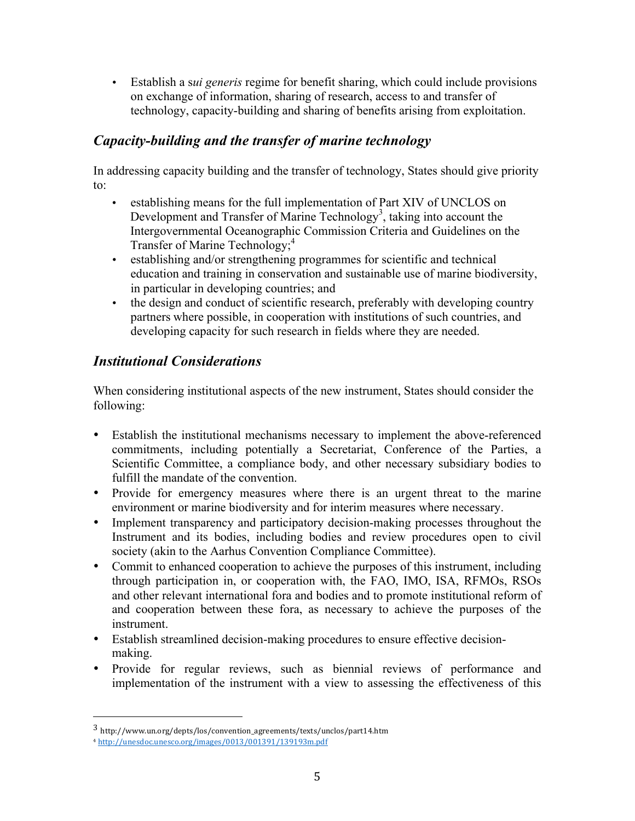• Establish a s*ui generis* regime for benefit sharing, which could include provisions on exchange of information, sharing of research, access to and transfer of technology, capacity-building and sharing of benefits arising from exploitation.

### *Capacity-building and the transfer of marine technology*

In addressing capacity building and the transfer of technology, States should give priority to:

- establishing means for the full implementation of Part XIV of UNCLOS on Development and Transfer of Marine Technology<sup>3</sup>, taking into account the Intergovernmental Oceanographic Commission Criteria and Guidelines on the Transfer of Marine Technology; 4
- establishing and/or strengthening programmes for scientific and technical education and training in conservation and sustainable use of marine biodiversity, in particular in developing countries; and
- the design and conduct of scientific research, preferably with developing country partners where possible, in cooperation with institutions of such countries, and developing capacity for such research in fields where they are needed.

# *Institutional Considerations*

When considering institutional aspects of the new instrument, States should consider the following:

- Establish the institutional mechanisms necessary to implement the above-referenced commitments, including potentially a Secretariat, Conference of the Parties, a Scientific Committee, a compliance body, and other necessary subsidiary bodies to fulfill the mandate of the convention.
- Provide for emergency measures where there is an urgent threat to the marine environment or marine biodiversity and for interim measures where necessary.
- Implement transparency and participatory decision-making processes throughout the Instrument and its bodies, including bodies and review procedures open to civil society (akin to the Aarhus Convention Compliance Committee).
- Commit to enhanced cooperation to achieve the purposes of this instrument, including through participation in, or cooperation with, the FAO, IMO, ISA, RFMOs, RSOs and other relevant international fora and bodies and to promote institutional reform of and cooperation between these fora, as necessary to achieve the purposes of the instrument.
- Establish streamlined decision-making procedures to ensure effective decisionmaking.
- Provide for regular reviews, such as biennial reviews of performance and implementation of the instrument with a view to assessing the effectiveness of this

 

<sup>3</sup> http://www.un.org/depts/los/convention\_agreements/texts/unclos/part14.htm

<sup>4</sup> http://unesdoc.unesco.org/images/0013/001391/139193m.pdf